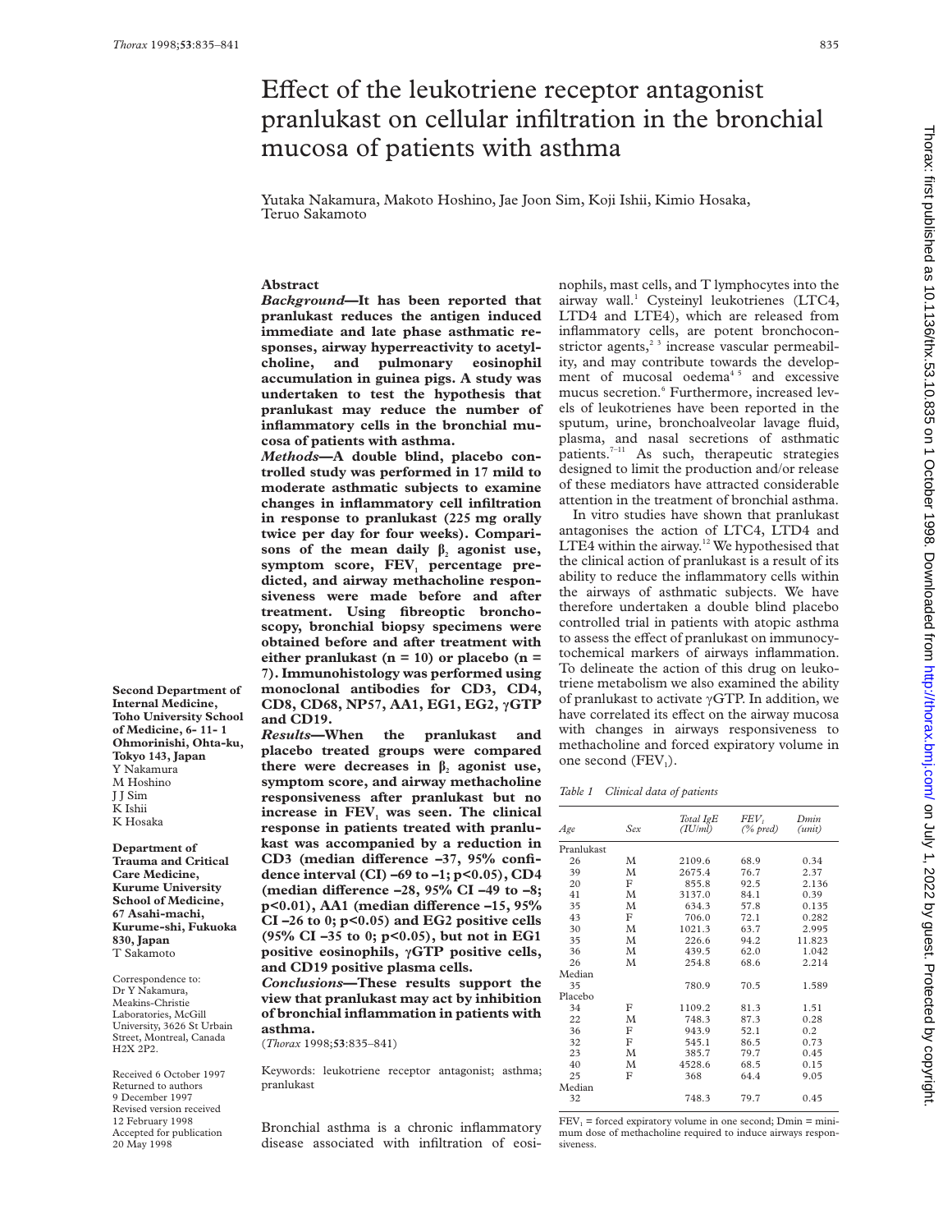# Effect of the leukotriene receptor antagonist pranlukast on cellular infiltration in the bronchial mucosa of patients with asthma

Yutaka Nakamura, Makoto Hoshino, Jae Joon Sim, Koji Ishii, Kimio Hosaka, Teruo Sakamoto

# **Abstract**

*Background***—It has been reported that pranlukast reduces the antigen induced immediate and late phase asthmatic responses, airway hyperreactivity to acetylcholine, and pulmonary eosinophil accumulation in guinea pigs. A study was undertaken to test the hypothesis that pranlukast may reduce the number of inflammatory cells in the bronchial mucosa of patients with asthma.**

*Methods***—A double blind, placebo controlled study was performed in 17 mild to moderate asthmatic subjects to examine changes in inflammatory cell infiltration in response to pranlukast (225 mg orally twice per day for four weeks). Compari**sons of the mean daily  $\beta$ , agonist use, symptom score,  $FEV_1$  percentage pre**dicted, and airway methacholine responsiveness were made before and after treatment. Using fibreoptic bronchoscopy, bronchial biopsy specimens were obtained before and after treatment with either pranlukast (n = 10) or placebo (n = 7). Immunohistology was performed using monoclonal antibodies for CD3, CD4, CD8, CD68, NP57, AA1, EG1, EG2, ãGTP and CD19.**

*Results***—When the pranlukast and placebo treated groups were compared there were decreases in**  $\beta_2$  **agonist use, symptom score, and airway methacholine responsiveness after pranlukast but no** increase in FEV<sub>1</sub> was seen. The clinical **response in patients treated with pranlukast was accompanied by a reduction in** CD3 (median difference -37, 95% confi**dence interval (CI) –69 to –1; p<0.05), CD4** (median difference -28, 95% CI -49 to -8; **p**<0.01), AA1 (median difference -15, 95% **CI –26 to 0; p<0.05) and EG2 positive cells (95% CI –35 to 0; p<0.05), but not in EG1 positive eosinophils, ãGTP positive cells, and CD19 positive plasma cells.**

*Conclusions***—These results support the view that pranlukast may act by inhibition of bronchial inflammation in patients with asthma.**

(*Thorax* 1998;**53**:835–841)

Keywords: leukotriene receptor antagonist; asthma; pranlukast

Bronchial asthma is a chronic inflammatory disease associated with infiltration of eosinophils, mast cells, and T lymphocytes into the airway wall.<sup>1</sup> Cysteinyl leukotrienes (LTC4, LTD4 and LTE4), which are released from inflammatory cells, are potent bronchoconstrictor agents,<sup>23</sup> increase vascular permeability, and may contribute towards the development of mucosal oedema $45$  and excessive mucus secretion.<sup>6</sup> Furthermore, increased levels of leukotrienes have been reported in the sputum, urine, bronchoalveolar lavage fluid, plasma, and nasal secretions of asthmatic patients.<sup>7-11</sup> As such, therapeutic strategies designed to limit the production and/or release of these mediators have attracted considerable attention in the treatment of bronchial asthma.

In vitro studies have shown that pranlukast antagonises the action of LTC4, LTD4 and LTE4 within the airway.<sup>12</sup> We hypothesised that the clinical action of pranlukast is a result of its ability to reduce the inflammatory cells within the airways of asthmatic subjects. We have therefore undertaken a double blind placebo controlled trial in patients with atopic asthma to assess the effect of pranlukast on immunocytochemical markers of airways inflammation. To delineate the action of this drug on leukotriene metabolism we also examined the ability of pranlukast to activate  $\gamma$ GTP. In addition, we have correlated its effect on the airway mucosa with changes in airways responsiveness to methacholine and forced expiratory volume in one second  $(FEV_1)$ .

*Table 1 Clinical data of patients*

| Age        | Sex | Total IgE<br>(IU/ml) | FEV,<br>$(\%$ pred) | Dmin<br>(unit) |
|------------|-----|----------------------|---------------------|----------------|
| Pranlukast |     |                      |                     |                |
| 26         | M   | 2109.6               | 68.9<br>76.7        | 0.34<br>2.37   |
| 39         | M   | 2675.4               |                     |                |
| 20         | F   | 855.8                | 92.5                | 2.136          |
| 41         | M   | 3137.0               | 84.1                | 0.39           |
| 35         | M   | 634.3                | 57.8                | 0.135          |
| 43         | F   | 706.0                | 72.1                | 0.282          |
| 30         | M   | 1021.3               | 63.7                | 2.995          |
| 35         | M   | 226.6                | 94.2                | 11.823         |
| 36         | M   | 439.5                | 62.0                | 1.042          |
| 26         | M   | 254.8                | 68.6                | 2.214          |
| Median     |     |                      |                     |                |
| 35         |     | 780.9                | 70.5                | 1.589          |
| Placebo    |     |                      |                     |                |
| 34         | F   | 1109.2               | 81.3                | 1.51           |
| 22         | M   | 748.3                | 87.3                | 0.28           |
| 36         | F   | 943.9                | 52.1                | 0.2            |
| 32         | F   | 545.1                | 86.5                | 0.73           |
| 23         | M   | 385.7                | 79.7                | 0.45           |
| 40         | M   | 4528.6               | 68.5                | 0.15           |
| 25         | F   | 368                  | 64.4                | 9.05           |
| Median     |     |                      |                     |                |
| 32         |     | 748.3                | 79.7                | 0.45           |
|            |     |                      |                     |                |

 $FEV<sub>1</sub> =$  forced expiratory volume in one second; Dmin = minimum dose of methacholine required to induce airways responsiveness.

**Second Department of Internal Medicine, Toho University School of Medicine, 6- 11- 1 Ohmorinishi, Ohta-ku, Tokyo 143, Japan** Y Nakamura M Hoshino J J Sim K Ishii K Hosaka

**Department of Trauma and Critical Care Medicine, Kurume University School of Medicine, 67 Asahi-machi, Kurume-shi, Fukuoka 830, Japan** T Sakamoto

Correspondence to: Dr Y Nakamura, Meakins-Christie Laboratories, McGill University, 3626 St Urbain Street, Montreal, Canada H2X 2P2.

Received 6 October 1997 Returned to authors 9 December 1997 Revised version received 12 February 1998 Accepted for publication 20 May 1998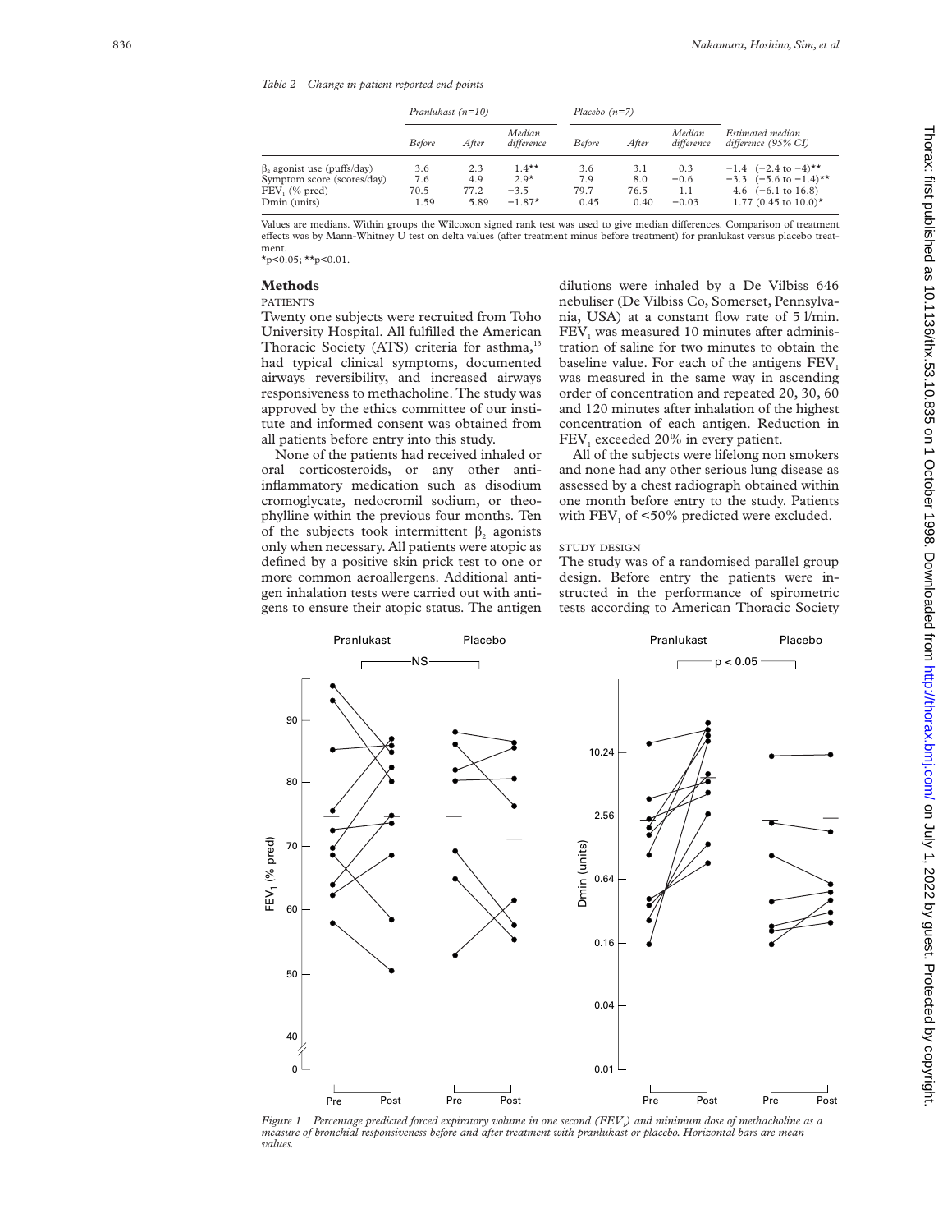*Table 2 Change in patient reported end points*

|                                                                                                  | Pranlukast $(n=10)$        |                            | Placebo $(n=7)$                          |                            |                            |                                 |                                                                                                                                                         |
|--------------------------------------------------------------------------------------------------|----------------------------|----------------------------|------------------------------------------|----------------------------|----------------------------|---------------------------------|---------------------------------------------------------------------------------------------------------------------------------------------------------|
|                                                                                                  | <b>Before</b>              | After                      | Median<br>difference                     | <i>Before</i>              | After                      | Median<br>difference            | Estimated median<br>difference (95% CI)                                                                                                                 |
| $\beta_2$ agonist use (puffs/day)<br>Symptom score (scores/day)<br>FEV, (% pred)<br>Dmin (units) | 3.6<br>7.6<br>70.5<br>1.59 | 2.3<br>4.9<br>77.2<br>5.89 | $1.4***$<br>$2.9*$<br>$-3.5$<br>$-1.87*$ | 3.6<br>7.9<br>79.7<br>0.45 | 3.1<br>8.0<br>76.5<br>0.40 | 0.3<br>$-0.6$<br>1.1<br>$-0.03$ | $-1.4$ $(-2.4 \text{ to } -4)$ <sup>**</sup><br>$-3.3$ $(-5.6 \text{ to } -1.4)$ <sup>**</sup><br>4.6 $(-6.1 \text{ to } 16.8)$<br>1.77 (0.45 to 10.0)* |

Values are medians. Within groups the Wilcoxon signed rank test was used to give median differences. Comparison of treatment effects was by Mann-Whitney U test on delta values (after treatment minus before treatment) for pranlukast versus placebo treatment.

 $\star$ p<0.05;  $\star$  $\star$ p<0.01.

# **Methods**

## PATIENTS

F

Twenty one subjects were recruited from Toho University Hospital. All fulfilled the American Thoracic Society (ATS) criteria for asthma,<sup>13</sup> had typical clinical symptoms, documented airways reversibility, and increased airways responsiveness to methacholine. The study was approved by the ethics committee of our institute and informed consent was obtained from all patients before entry into this study.

None of the patients had received inhaled or oral corticosteroids, or any other antiinflammatory medication such as disodium cromoglycate, nedocromil sodium, or theophylline within the previous four months. Ten of the subjects took intermittent  $\beta_2$  agonists only when necessary. All patients were atopic as defined by a positive skin prick test to one or more common aeroallergens. Additional antigen inhalation tests were carried out with antigens to ensure their atopic status. The antigen

dilutions were inhaled by a De Vilbiss 646 nebuliser (De Vilbiss Co, Somerset, Pennsylvania, USA) at a constant flow rate of 5 l/min. FEV <sup>1</sup> was measured 10 minutes after administration of saline for two minutes to obtain the baseline value. For each of the antigens FEV 1 was measured in the same way in ascending order of concentration and repeated 20, 30, 60 and 120 minutes after inhalation of the highest concentration of each antigen. Reduction in FEV <sup>1</sup> exceeded 20% in every patient.

All of the subjects were lifelong non smokers and none had any other serious lung disease as assessed by a chest radiograph obtained within one month before entry to the study. Patients with  $\text{FEV}_1$  of <50% predicted were excluded.

#### STUDY DESIGN

The study was of a randomised parallel group design. Before entry the patients were instructed in the performance of spirometric tests according to American Thoracic Society



*Figure 1 Percentage predicted forced expiratory volume in one second (FEV1) and minimum dose of methacholine as a measure of bronchial responsiveness before and after treatment with pranlukast or placebo. Horizontal bars are mean values.*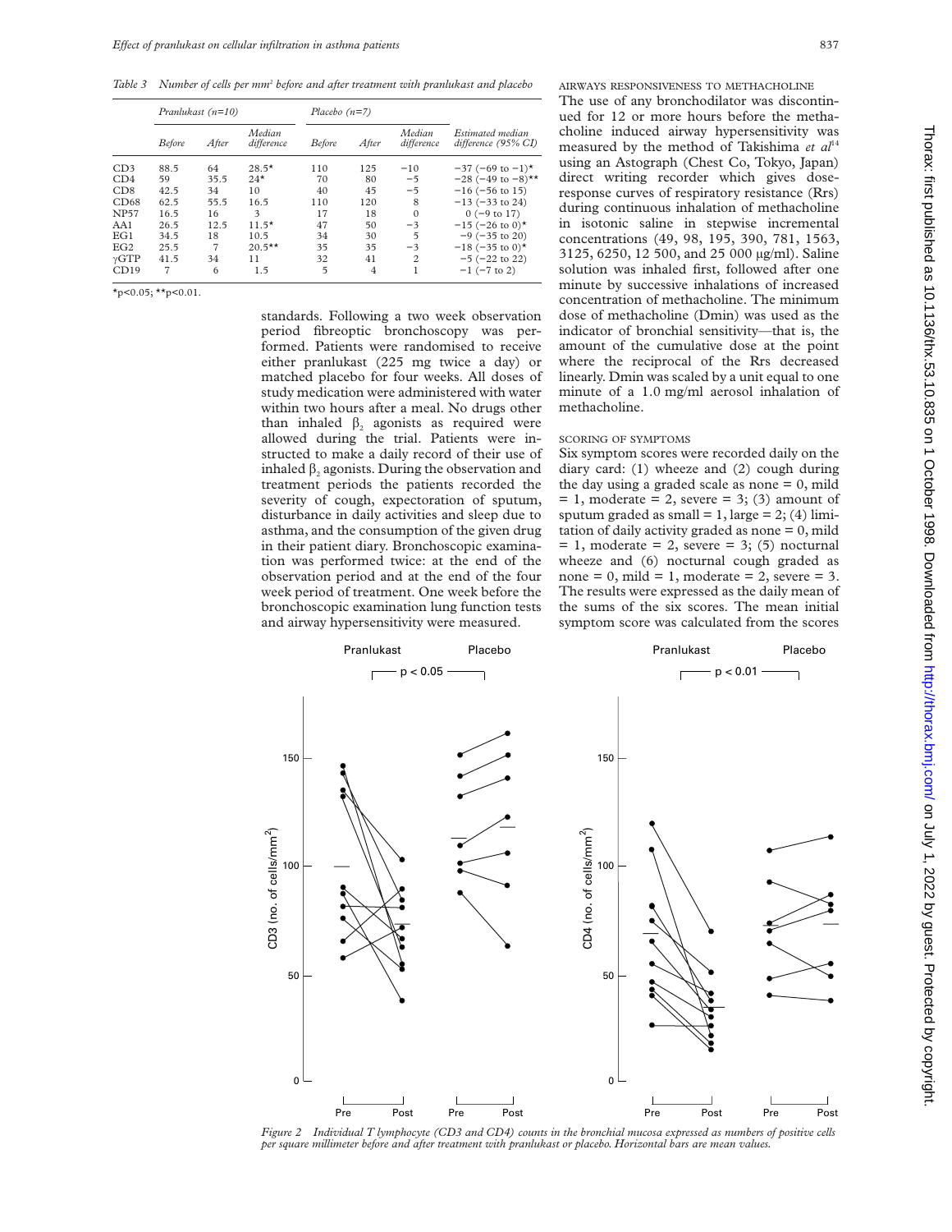*Table 3 Number of cells per mm2 before and after treatment with pranlukast and placebo*

|                 | Pranlukast $(n=10)$ |       | Placebo $(n=7)$      |               |                |                      |                                         |
|-----------------|---------------------|-------|----------------------|---------------|----------------|----------------------|-----------------------------------------|
|                 | <b>Before</b>       | After | Median<br>difference | <b>Before</b> | After          | Median<br>difference | Estimated median<br>difference (95% CI) |
| CD <sub>3</sub> | 88.5                | 64    | $28.5*$              | 110           | 125            | $-10$                | $-37$ (-69 to $-1$ )*                   |
| CD4             | 59                  | 35.5  | $24*$                | 70            | 80             | $-5$                 | $-28$ (-49 to $-8$ )**                  |
| CD8             | 42.5                | 34    | 10                   | 40            | 45             | $-5$                 | $-16$ ( $-56$ to 15)                    |
| CD68            | 62.5                | 55.5  | 16.5                 | 110           | 120            | 8                    | $-13$ ( $-33$ to 24)                    |
| <b>NP57</b>     | 16.5                | 16    | 3                    | 17            | 18             | $\Omega$             | $0$ (-9 to 17)                          |
| AA1             | 26.5                | 12.5  | $11.5*$              | 47            | 50             | $-3$                 | $-15$ (-26 to 0)*                       |
| EG1             | 34.5                | 18    | 10.5                 | 34            | 30             | 5                    | $-9$ ( $-35$ to 20)                     |
| EG2             | 25.5                | 7     | $20.5***$            | 35            | 35             | $-3$                 | $-18$ (-35 to 0) <sup>*</sup>           |
| $\gamma GTP$    | 41.5                | 34    | 11                   | 32            | 41             | $\overline{c}$       | $-5$ ( $-22$ to 22)                     |
| CD19            | 7                   | 6     | 1.5                  | 5             | $\overline{4}$ |                      | $-1$ ( $-7$ to 2)                       |

 $\star$ p<0.05;  $\star\star$ p<0.01.

standards. Following a two week observation period fibreoptic bronchoscopy was performed. Patients were randomised to receive either pranlukast (225 mg twice a day) or matched placebo for four weeks. All doses of study medication were administered with water within two hours after a meal. No drugs other than inhaled  $\beta$ , agonists as required were allowed during the trial. Patients were instructed to make a daily record of their use of inhaled  $\beta_2$  agonists. During the observation and treatment periods the patients recorded the severity of cough, expectoration of sputum, disturbance in daily activities and sleep due to asthma, and the consumption of the given drug in their patient diary. Bronchoscopic examination was performed twice: at the end of the observation period and at the end of the four week period of treatment. One week before the bronchoscopic examination lung function tests and airway hypersensitivity were measured.

AIRWAYS RESPONSIVENESS TO METHACHOLINE The use of any bronchodilator was discontinued for 12 or more hours before the methacholine induced airway hypersensitivity was measured by the method of Takishima et al<sup>14</sup> using an Astograph (Chest Co, Tokyo, Japan) direct writing recorder which gives doseresponse curves of respiratory resistance (Rrs) during continuous inhalation of methacholine in isotonic saline in stepwise incremental concentrations (49, 98, 195, 390, 781, 1563, 3125, 6250, 12 500, and 25 000 µg/ml). Saline solution was inhaled first, followed after one minute by successive inhalations of increased concentration of methacholine. The minimum dose of methacholine (Dmin) was used as the indicator of bronchial sensitivity—that is, the amount of the cumulative dose at the point where the reciprocal of the Rrs decreased linearly. Dmin was scaled by a unit equal to one minute of a 1.0 mg/ml aerosol inhalation of methacholine.

## SCORING OF SYMPTOMS

Six symptom scores were recorded daily on the diary card: (1) wheeze and (2) cough during the day using a graded scale as none  $= 0$ , mild  $= 1$ , moderate  $= 2$ , severe  $= 3$ ; (3) amount of sputum graded as small =  $1$ , large =  $2$ ; (4) limitation of daily activity graded as none  $= 0$ , mild  $= 1$ , moderate  $= 2$ , severe  $= 3$ ; (5) nocturnal wheeze and (6) nocturnal cough graded as none = 0, mild = 1, moderate = 2, severe = 3. The results were expressed as the daily mean of the sums of the six scores. The mean initial symptom score was calculated from the scores



*Figure 2 Individual T lymphocyte (CD3 and CD4) counts in the bronchial mucosa expressed as numbers of positive cells per square millimeter before and after treatment with pranlukast or placebo. Horizontal bars are mean values.*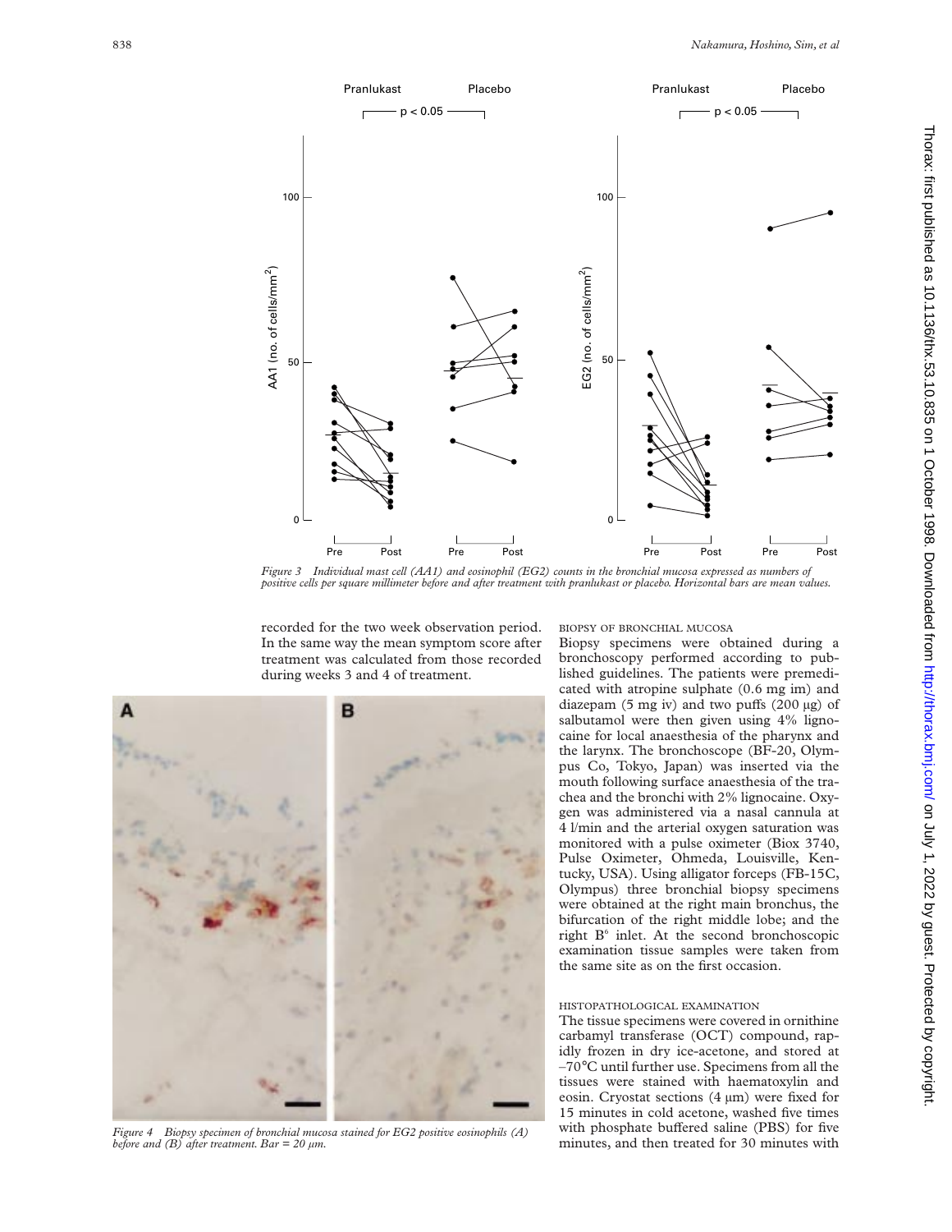

*Figure 3 Individual mast cell (AA1) and eosinophil (EG2) counts in the bronchial mucosa expressed as numbers of positive cells per square millimeter before and after treatment with pranlukast or placebo. Horizontal bars are mean values.*

recorded for the two week observation period. In the same way the mean symptom score after treatment was calculated from those recorded during weeks 3 and 4 of treatment.

в

*Figure 4 Biopsy specimen of bronchial mucosa stained for EG2 positive eosinophils (A) before and (B) after treatment. Bar = 20 µm.*

BIOPSY OF BRONCHIAL MUCOSA

Biopsy specimens were obtained during a bronchoscopy performed according to published guidelines. The patients were premedicated with atropine sulphate (0.6 mg im) and diazepam (5 mg iv) and two puffs (200  $\mu$ g) of salbutamol were then given using 4% lignocaine for local anaesthesia of the pharynx and the larynx. The bronchoscope (BF-20, Olympus Co, Tokyo, Japan) was inserted via the mouth following surface anaesthesia of the trachea and the bronchi with 2% lignocaine. Oxygen was administered via a nasal cannula at 4 l/min and the arterial oxygen saturation was monitored with a pulse oximeter (Biox 3740, Pulse Oximeter, Ohmeda, Louisville, Kentucky, USA). Using alligator forceps (FB-15C, Olympus) three bronchial biopsy specimens were obtained at the right main bronchus, the bifurcation of the right middle lobe; and the right  $B^6$  inlet. At the second bronchoscopic examination tissue samples were taken from the same site as on the first occasion.

# HISTOPATHOLOGICAL EXAMINATION

The tissue specimens were covered in ornithine carbamyl transferase (OCT) compound, rapidly frozen in dry ice-acetone, and stored at –70°C until further use. Specimens from all the tissues were stained with haematoxylin and eosin. Cryostat sections (4 µm) were fixed for 15 minutes in cold acetone, washed five times with phosphate buffered saline (PBS) for five minutes, and then treated for 30 minutes with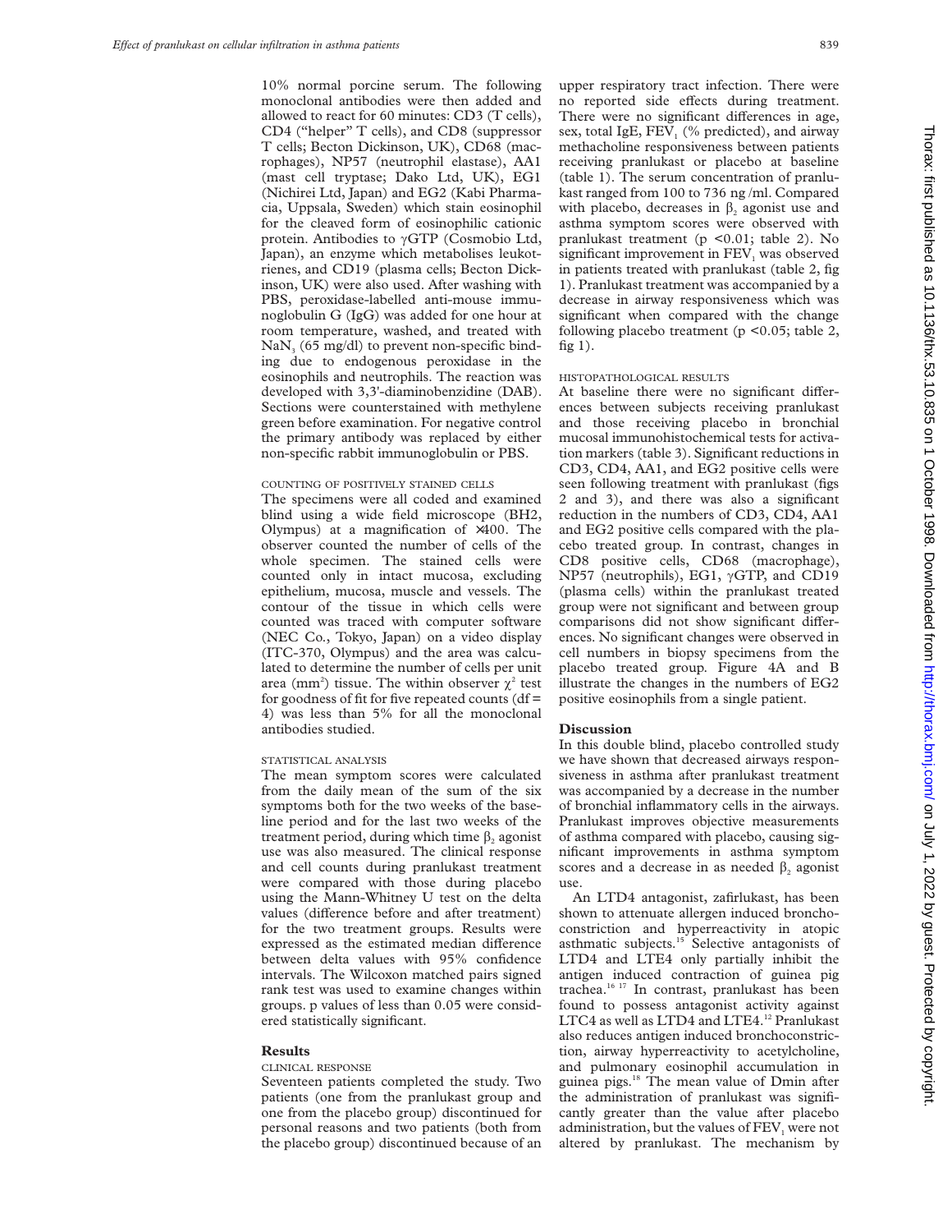10% normal porcine serum. The following monoclonal antibodies were then added and allowed to react for 60 minutes: CD3 (T cells), CD4 ("helper" T cells), and CD8 (suppressor T cells; Becton Dickinson, UK), CD68 (macrophages), NP57 (neutrophil elastase), AA1 (mast cell tryptase; Dako Ltd, UK), EG1 (Nichirei Ltd, Japan) and EG2 (Kabi Pharmacia, Uppsala, Sweden) which stain eosinophil for the cleaved form of eosinophilic cationic protein. Antibodies to  $\gamma$ GTP (Cosmobio Ltd, Japan), an enzyme which metabolises leukotrienes, and CD19 (plasma cells; Becton Dickinson, UK) were also used. After washing with PBS, peroxidase-labelled anti-mouse immunoglobulin G (IgG) was added for one hour at room temperature, washed, and treated with  $\text{NaN}_3$  (65 mg/dl) to prevent non-specific binding due to endogenous peroxidase in the eosinophils and neutrophils. The reaction was developed with 3,3'-diaminobenzidine (DAB). Sections were counterstained with methylene green before examination. For negative control the primary antibody was replaced by either non-specific rabbit immunoglobulin or PBS.

#### COUNTING OF POSITIVELY STAINED CELLS

The specimens were all coded and examined blind using a wide field microscope (BH2, Olympus) at a magnification of  $\times$ 400. The observer counted the number of cells of the whole specimen. The stained cells were counted only in intact mucosa, excluding epithelium, mucosa, muscle and vessels. The contour of the tissue in which cells were counted was traced with computer software (NEC Co., Tokyo, Japan) on a video display (ITC-370, Olympus) and the area was calculated to determine the number of cells per unit area (mm<sup>2</sup>) tissue. The within observer  $\chi^2$  test for goodness of fit for five repeated counts ( $df =$ 4) was less than 5% for all the monoclonal antibodies studied.

## STATISTICAL ANALYSIS

The mean symptom scores were calculated from the daily mean of the sum of the six symptoms both for the two weeks of the baseline period and for the last two weeks of the treatment period, during which time  $\beta_2$  agonist use was also measured. The clinical response and cell counts during pranlukast treatment were compared with those during placebo using the Mann-Whitney U test on the delta values (difference before and after treatment) for the two treatment groups. Results were expressed as the estimated median difference between delta values with 95% confidence intervals. The Wilcoxon matched pairs signed rank test was used to examine changes within groups. p values of less than 0.05 were considered statistically significant.

### **Results**

#### CLINICAL RESPONSE

Seventeen patients completed the study. Two patients (one from the pranlukast group and one from the placebo group) discontinued for personal reasons and two patients (both from the placebo group) discontinued because of an upper respiratory tract infection. There were no reported side effects during treatment. There were no significant differences in age, sex, total IgE, FEV $\,$  (% predicted), and airway methacholine responsiveness between patients receiving pranlukast or placebo at baseline (table 1). The serum concentration of pranlukast ranged from 100 to 736 ng /ml. Compared with placebo, decreases in  $\beta$ , agonist use and asthma symptom scores were observed with pranlukast treatment (p <0.01; table 2). No significant improvement in FEV<sub>1</sub> was observed in patients treated with pranlukast (table 2, fig 1). Pranlukast treatment was accompanied by a decrease in airway responsiveness which was significant when compared with the change following placebo treatment (p <0.05; table 2, fig  $1$ ).

## HISTOPATHOLOGICAL RESULTS

At baseline there were no significant differences between subjects receiving pranlukast and those receiving placebo in bronchial mucosal immunohistochemical tests for activation markers (table 3). Significant reductions in CD3, CD4, AA1, and EG2 positive cells were seen following treatment with pranlukast (figs 2 and 3), and there was also a significant reduction in the numbers of CD3, CD4, AA1 and EG2 positive cells compared with the placebo treated group. In contrast, changes in CD8 positive cells, CD68 (macrophage), NP57 (neutrophils), EG1,  $\gamma$ GTP, and CD19 (plasma cells) within the pranlukast treated group were not significant and between group comparisons did not show significant differences. No significant changes were observed in cell numbers in biopsy specimens from the placebo treated group. Figure 4A and B illustrate the changes in the numbers of EG2 positive eosinophils from a single patient.

#### **Discussion**

In this double blind, placebo controlled study we have shown that decreased airways responsiveness in asthma after pranlukast treatment was accompanied by a decrease in the number of bronchial inflammatory cells in the airways. Pranlukast improves objective measurements of asthma compared with placebo, causing significant improvements in asthma symptom scores and a decrease in as needed  $\beta$ , agonist use.

An LTD4 antagonist, zafirlukast, has been shown to attenuate allergen induced bronchoconstriction and hyperreactivity in atopic asthmatic subjects.<sup>15</sup> Selective antagonists of LTD4 and LTE4 only partially inhibit the antigen induced contraction of guinea pig trachea.16 17 In contrast, pranlukast has been found to possess antagonist activity against LTC4 as well as LTD4 and LTE4.<sup>12</sup> Pranlukast also reduces antigen induced bronchoconstriction, airway hyperreactivity to acetylcholine, and pulmonary eosinophil accumulation in guinea pigs.<sup>18</sup> The mean value of Dmin after the administration of pranlukast was significantly greater than the value after placebo administration, but the values of  $FEV<sub>1</sub>$  were not altered by pranlukast. The mechanism by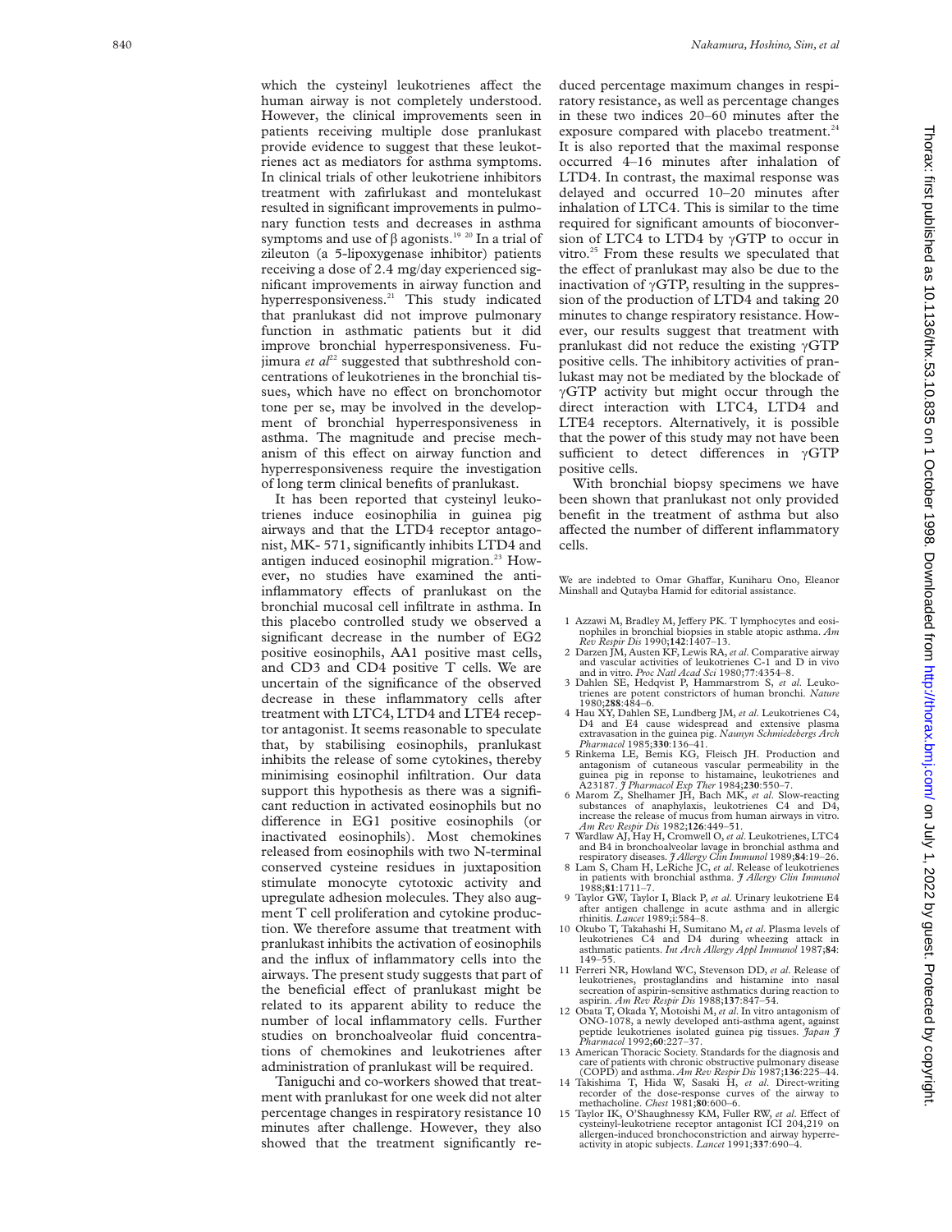which the cysteinyl leukotrienes affect the human airway is not completely understood. However, the clinical improvements seen in patients receiving multiple dose pranlukast provide evidence to suggest that these leukotrienes act as mediators for asthma symptoms. In clinical trials of other leukotriene inhibitors treatment with zafirlukast and montelukast resulted in significant improvements in pulmonary function tests and decreases in asthma symptoms and use of  $\beta$  agonists.<sup>19 20</sup> In a trial of zileuton (a 5-lipoxygenase inhibitor) patients receiving a dose of 2.4 mg/day experienced significant improvements in airway function and hyperresponsiveness.<sup>21</sup> This study indicated that pranlukast did not improve pulmonary function in asthmatic patients but it did improve bronchial hyperresponsiveness. Fujimura *et*  $al^{22}$  suggested that subthreshold concentrations of leukotrienes in the bronchial tissues, which have no effect on bronchomotor tone per se, may be involved in the development of bronchial hyperresponsiveness in asthma. The magnitude and precise mechanism of this effect on airway function and hyperresponsiveness require the investigation of long term clinical benefits of pranlukast.

It has been reported that cysteinyl leukotrienes induce eosinophilia in guinea pig airways and that the LTD4 receptor antagonist, MK- 571, significantly inhibits LTD4 and antigen induced eosinophil migration. $23$  However, no studies have examined the antiinflammatory effects of pranlukast on the bronchial mucosal cell infiltrate in asthma. In this placebo controlled study we observed a significant decrease in the number of EG2 positive eosinophils, AA1 positive mast cells, and CD3 and CD4 positive T cells. We are uncertain of the significance of the observed decrease in these inflammatory cells after treatment with LTC4, LTD4 and LTE4 receptor antagonist. It seems reasonable to speculate that, by stabilising eosinophils, pranlukast inhibits the release of some cytokines, thereby minimising eosinophil infiltration. Our data support this hypothesis as there was a significant reduction in activated eosinophils but no difference in EG1 positive eosinophils (or inactivated eosinophils). Most chemokines released from eosinophils with two N-terminal conserved cysteine residues in juxtaposition stimulate monocyte cytotoxic activity and upregulate adhesion molecules. They also augment T cell proliferation and cytokine production. We therefore assume that treatment with pranlukast inhibits the activation of eosinophils and the influx of inflammatory cells into the airways. The present study suggests that part of the beneficial effect of pranlukast might be related to its apparent ability to reduce the number of local inflammatory cells. Further studies on bronchoalveolar fluid concentrations of chemokines and leukotrienes after administration of pranlukast will be required.

Taniguchi and co-workers showed that treatment with pranlukast for one week did not alter percentage changes in respiratory resistance 10 minutes after challenge. However, they also showed that the treatment significantly re-

duced percentage maximum changes in respiratory resistance, as well as percentage changes in these two indices 20–60 minutes after the exposure compared with placebo treatment.<sup>24</sup> It is also reported that the maximal response occurred 4–16 minutes after inhalation of LTD4. In contrast, the maximal response was delayed and occurred 10–20 minutes after inhalation of LTC4. This is similar to the time required for significant amounts of bioconversion of LTC4 to LTD4 by  $\gamma$ GTP to occur in vitro.<sup>25</sup> From these results we speculated that the effect of pranlukast may also be due to the inactivation of  $\gamma$ GTP, resulting in the suppression of the production of LTD4 and taking 20 minutes to change respiratory resistance. However, our results suggest that treatment with pranlukast did not reduce the existing  $\gamma$ GTP positive cells. The inhibitory activities of pranlukast may not be mediated by the blockade of  $\gamma$ GTP activity but might occur through the direct interaction with LTC4, LTD4 and LTE4 receptors. Alternatively, it is possible that the power of this study may not have been sufficient to detect differences in  $\gamma$ GTP positive cells.

With bronchial biopsy specimens we have been shown that pranlukast not only provided benefit in the treatment of asthma but also affected the number of different inflammatory cells.

We are indebted to Omar Ghaffar, Kuniharu Ono, Eleanor Minshall and Qutayba Hamid for editorial assistance.

- 1 Azzawi M, Bradley M, Jeffery PK. T lymphocytes and eosinophiles in bronchial biopsies in stable atopic asthma. *Am Rev Respir Dis* 1990;**142**:1407–13.
- 2 Darzen JM, Austen KF, Lewis RA,*et al*. Comparative airway and vascular activities of leukotrienes C-1 and D in vivo and in vitro. *Proc Natl Acad Sci* 1980;**77**:4354–8.
- 3 Dahlen SE, Hedqvist P, Hammarstrom S, *et al*. Leukotrienes are potent constrictors of human bronchi. *Nature* 1980;**288**:484–6.
- 4 Hau XY, Dahlen SE, Lundberg JM, *et al*. Leukotrienes C4, D4 and E4 cause widespread and extensive plasma extravasation in the guinea pig. *Naunyn Schmiedebergs Arch Pharmacol* 1985;**330**:136–41.
- 5 Rinkema LE, Bemis KG, Fleisch JH. Production and antagonism of cutaneous vascular permeability in the guinea pig in reponse to histamaine, leukotrienes and A23187. *J Pharmacol Exp Ther* 1984;**230**:550–7.
- 6 Marom Z, Shelhamer JH, Bach MK, *et al*. Slow-reacting substances of anaphylaxis, leukotrienes C4 and D4, increase the release of mucus from human airways in vitro. *Am Rev Respir Dis* 1982;**126**:449–51.
- 7 Wardlaw AJ, Hay H, Cromwell O, *et al*. Leukotrienes, LTC4 and B4 in bronchoalveolar lavage in bronchial asthma and
- respiratory diseases. *J Allergy Clin Immunol* 1989;**84**:19–26. 8 Lam S, Cham H, LeRiche JC, *et al*. Release of leukotrienes in patients with bronchial asthma. *J Allergy Clin Immunol* 1988;**81**:1711–7.
- 9 Taylor GW, Taylor I, Black P, *et al*. Urinary leukotriene E4 after antigen challenge in acute asthma and in allergic rhinitis. *Lancet* 1989;i:584–8.
- 10 Okubo T, Takahashi H, Sumitano M, *et al*. Plasma levels of leukotrienes C4 and D4 during wheezing attack in asthmatic patients. *Int Arch Allergy Appl Immunol* 1987;**84** : 149–55.
- 11 Ferreri NR, Howland WC, Stevenson DD, *et al*. Release of leukotrienes, prostaglandins and histamine into nasal secreation of aspirin-sensitive asthmatics during reaction to aspirin. *Am Rev Respir Dis* 1988;**137**:847–54.
- 12 Obata T, Okada Y, Motoishi M, *et al*. In vitro antagonism of ONO-1078, a newly developed anti-asthma agent, against peptide leukotrienes isolated guinea pig tissues. *Japan J Pharmacol* 1992;**60**:227–37.
- 13 American Thoracic Society. Standards for the diagnosis and care of patients with chronic obstructive pulmonary disease (COPD) and asthma. *Am Rev Respir Dis* 1987;**136**:225–44.
- 14 Takishima T, Hida W, Sasaki H, *et al*. Direct-writing recorder of the dose-response curves of the airway to methacholine. *Chest* 1981;**80**:600–6.
- 15 Taylor IK, O'Shaughnessy KM, Fuller RW, et al. Effect of cysteinyl-leukotriene receptor antagonist ICI 204,219 on allergen-induced bronchoconstriction and airway hyperreactivity in atopic subjects. *Lancet* 1991;**337**:690–4.